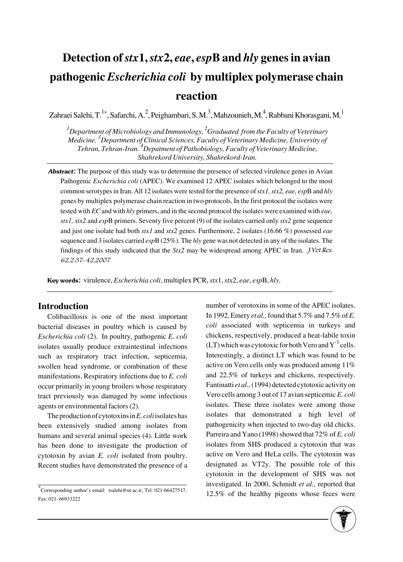# **Detection of** *stx***1,** *stx***2,** *eae***,** *esp***B and** *hly* **genes in avian pathogenic** *Escherichia coli* **by multiplex polymerase chain reaction**

Zahraei Salehi, T. $^{1*}$ , Safarchi, A.<sup>2</sup>, Peighambari, S. M.<sup>3</sup>, Mahzounieh, M.<sup>4</sup>, Rabbani Khorasgani, M.<sup>1</sup>

*1 Department of Microbiology and Immunology, <sup>2</sup> Graduated from the Faculty of Veterinary Medicine. 3 Department of Clinical Sciences, Faculty of Veterinary Medicine, University of Tehran, Tehran-Iran. 4 Depatment of Pathobiology, Faculty of Veterinary Medicine, Shahrekord University, Shahrekord-Iran.*

Abstract: The purpose of this study was to determine the presence of selected virulence genes in Avian Pathogenic *Escherichia coli* (APEC). We examined 12 APEC isolates which belonged to the most common serotypes in Iran. All 12 isolates were tested for the presence of *stx1, stx2, eae, esp*B and *hly* genes by multiplex polymerase chain reaction in two protocols. In the first protocol the isolates were tested with *EC* and with *hly* primers, and in the second protocol the isolates were examined with *eae, stx1, stx2* and *esp*B primers. Seventy five percent (9) of the isolates carried only *stx2* gene sequence and just one isolate had both *stx1* and *stx2* genes. Furthermore, 2 isolates (16.66 %) possessed *eae* sequence and 3 isolates carried *esp*B (25%). The *hly* gene was not detected in any of the isolates. The findings of this study indicated that the *Stx2* may be widespread among APEC in Iran. J.Vet.Res. 62,2:37-42,2007.

Key words: virulence, *Escherichia coli*, multiplex PCR, *stx*1, *stx*2, *eae*, *esp*B, *hly.*

# **Introduction**

Colibacillosis is one of the most important bacterial diseases in poultry which is caused by *Escherichia coli* (2). In poultry, pathogenic *E. coli* isolates usually produce extraintestinal infections such as respiratory tract infection, septicemia, swollen head syndrome, or combination of these manifestations. Respiratory infections due to *E. coli* occur primarily in young broilers whose respiratory tract previously was damaged by some infectious agents or environmental factors (2).

The production of cytotoxins in *E. coli*isolates has been extensively studied among isolates from humans and several animal species (4). Little work has been done to investigate the production of cytotoxin by avian *E. coli* isolated from poultry. Recent studies have demonstrated the presence of a

number of verotoxins in some of the APEC isolates. In 1992, Emery *et al.,*found that 5.7% and 7.5% of *E. coli* associated with septicemia in turkeys and chickens, respectively, produced a heat-labile toxin (LT) which was cytotoxic for both Vero and  $Y^{-1}$  cells. Interestingly, a distinct LT which was found to be active on Vero cells only was produced among 11% and 22.5% of turkeys and chickens, respectively. Fantinatti *et al.,*(1994) detected cytotoxic activity on Vero cells among 3 out of 17 avian septicemic *E. coli* isolates. These three isolates were among those isolates that demonstrated a high level of pathogenicity when injected to two-day old chicks. Parreira and Yano (1998) showed that 72% of *E. coli* isolates from SHS produced a cytotoxin that was active on Vero and HeLa cells. The cytotoxin was designated as VT2y. The possible role of this cytotoxin in the development of SHS was not investigated. In 2000, Schmidt *et al.,* reported that 12.5% of the healthy pigeons whose feces were



<sup>\*</sup>Corresponding author's email: tsalehi@ut.ac.ir, Tel: 021-66427517, Fax: 021- 66933222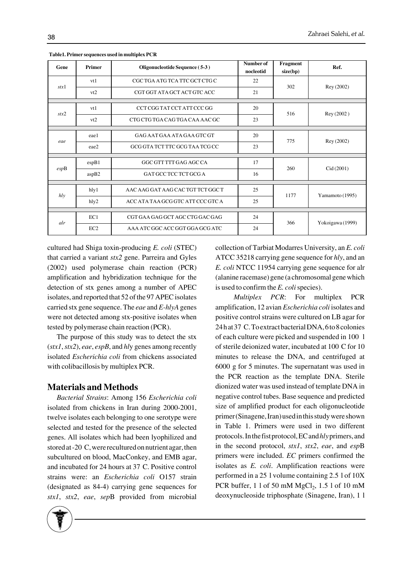| Gene     | Primer                                          | Oligonucleotide Sequence (5-3)       | Number of<br>nocleotid | Fragment<br>size(bp) | Ref.             |  |  |  |  |  |
|----------|-------------------------------------------------|--------------------------------------|------------------------|----------------------|------------------|--|--|--|--|--|
| str1     | vt1                                             | CGC TGA ATG TCA TTC GCT CTG C        | 22                     |                      |                  |  |  |  |  |  |
|          | vt2                                             | CGT GGT ATA GCT ACT GTC ACC          | 21                     | 302                  | Rey (2002)       |  |  |  |  |  |
|          |                                                 |                                      |                        |                      |                  |  |  |  |  |  |
| str2     | vt1                                             | CCT CGG TAT CCT ATT CCC GG           | 20                     | 516                  | Rey(2002)        |  |  |  |  |  |
|          | vt2                                             | 23<br>CTG CTG TGA CAG TGA CAA AAC GC |                        |                      |                  |  |  |  |  |  |
|          |                                                 |                                      |                        |                      |                  |  |  |  |  |  |
| eae      | eae1                                            | GAG AAT GAA ATA GAA GTC GT           | 20                     | 775                  |                  |  |  |  |  |  |
|          | eae2                                            | GCG GTA TCT TTC GCG TAA TCG CC       | 23                     |                      | Rey (2002)       |  |  |  |  |  |
|          |                                                 |                                      |                        |                      |                  |  |  |  |  |  |
| $\exp B$ | $\exp B1$                                       | GGC GTT TTT GAG AGC CA<br>17         |                        | 260                  | Cid(2001)        |  |  |  |  |  |
|          | aspB2                                           | GAT GCC TCC TCT GCG A                | 16                     |                      |                  |  |  |  |  |  |
|          |                                                 |                                      |                        |                      |                  |  |  |  |  |  |
| h l v    | hly1                                            | AAC AAG GAT AAG CAC TGT TCT GGC T    | 25<br>1177             |                      |                  |  |  |  |  |  |
|          | 25<br>hly2<br>ACC ATA TAA GCG GTC ATT CCC GTC A |                                      |                        |                      | Yamamoto (1995)  |  |  |  |  |  |
|          |                                                 |                                      |                        |                      |                  |  |  |  |  |  |
| alr      | EC1                                             | CGT GAA GAG GCT AGC CTG GAC GAG      | 24                     | 366                  | Yokoigawa (1999) |  |  |  |  |  |
|          | EC <sub>2</sub>                                 | AAA ATC GGC ACC GGT GGA GCG ATC      | 24                     |                      |                  |  |  |  |  |  |

**Table1. Primer sequences used in multiplex PCR**

cultured had Shiga toxin-producing *E. coli* (STEC) that carried a variant *stx2* gene. Parreira and Gyles (2002) used polymerase chain reaction (PCR) amplification and hybridization technique for the detection of stx genes among a number of APEC isolates, and reported that 52 of the 97 APEC isolates carried stx gene sequence. The *eae* and *E-hlyA* genes were not detected among stx-positive isolates when tested by polymerase chain reaction (PCR).

The purpose of this study was to detect the stx (*stx1*, *stx2*), *eae*, *espB*, and *hl*y genes among recently isolated *Escherichia coli* from chickens associated with colibacillosis by multiplex PCR.

### **Materials and Methods**

*Bacterial Strains*: Among 156 *Escherichia coli* isolated from chickens in Iran during 2000-2001, twelve isolates each belonging to one serotype were selected and tested for the presence of the selected genes. All isolates which had been lyophilized and stored at -20 C, were recultured on nutrient agar, then subcultured on blood, MacConkey, and EMB agar, and incubated for 24 hours at 37C. Positive control strains were: an *Escherichia coli* O157 strain (designated as 84-4) carrying gene sequences for *stx1*, *stx2*, *eae*, *sep*B provided from microbial

collection of Tarbiat Modarres University, an *E. coli* ATCC 35218 carrying gene sequence for *hly*, and an *E. coli* NTCC 11954 carrying gene sequence for alr (alanine racemase) gene (a chromosomal gene which is used to confirm the *E. coli*species).

*Multiplex PCR*: For multiplex PCR amplification, 12 avian *Escherichia coli* isolates and positive control strains were cultured on LB agar for 24 h at 37 C. To extract bacterial DNA, 6 to 8 colonies of each culture were picked and suspended in 100 l of sterile deionized water, incubated at 100 C for 10 minutes to release the DNA, and centrifuged at 6000g for 5 minutes. The supernatant was used in the PCR reaction as the template DNA. Sterile dionized water was used instead of template DNA in negative control tubes. Base sequence and predicted size of amplified product for each oligonucleotide primer (Sinagene, Iran) used in this study were shown in Table 1. Primers were used in two different protocols. In the fist protocol, EC and *hly*primers, and in the second protocol, *stx1*, *stx2*, *eae*, and *esp*B primers were included. *EC* primers confirmed the isolates as *E. coli*. Amplification reactions were performed in a 25 l volume containing  $2.5$  l of  $10X$ PCR buffer,  $1 \cdot 1$  of 50 mM MgCl<sub>2</sub>,  $1.5 \cdot 1$  of 10 mM deoxynucleoside triphosphate (Sinagene, Iran), 1 l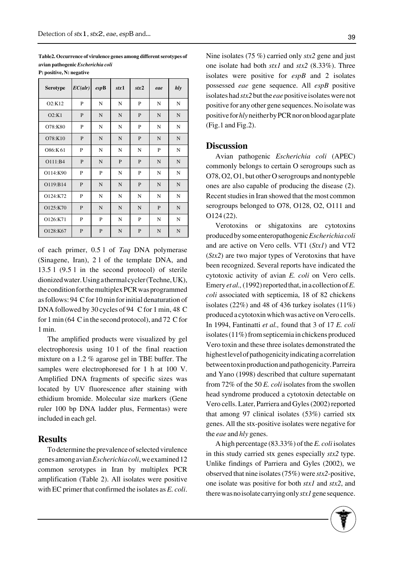**Table2. Occurrence of virulence genes among different serotypes of avian pathogenic** *Escherichia coli*

|  |  |  | P: positive, N: negative |
|--|--|--|--------------------------|
|--|--|--|--------------------------|

| <b>Serotype</b> | EC(alr) | $\exp B$ | stx1        | stx2 | eae | hly |
|-----------------|---------|----------|-------------|------|-----|-----|
| O2:K12          | P       | N        | $\mathbf N$ | P    | N   | N   |
| O2:K1           | P       | N        | N           | P    | N   | N   |
| O78:K80         | P       | N        | N           | P    | N   | N   |
| O78:K10         | P       | N        | N           | P    | N   | N   |
| O86:K61         | P       | N        | N           | N    | P   | N   |
| O111:B4         | P       | N        | P           | P    | N   | N   |
| O114:K90        | P       | P        | N           | P    | N   | N   |
| O119:B14        | P       | N        | N           | P    | N   | N   |
| O124:K72        | P       | N        | ${\bf N}$   | N    | N   | N   |
| O125:K70        | P       | N        | N           | N    | P   | N   |
| O126:K71        | P       | P        | N           | P    | N   | N   |
| O128:K67        | P       | P        | N           | P    | N   | N   |

of each primer, 0.5l of *Taq* DNA polymerase (Sinagene, Iran), 2l of the template DNA, and 13.5l (9.5l in the second protocol) of sterile dionized water. Using a thermal cycler (Techne, UK), the condition for the multiplex PCR was programmed as follows: 94 C for 10 min for initial denaturation of DNA followed by 30 cycles of 94 C for 1 min, 48 C for 1 min (64 C in the second protocol), and 72 C for 1 min.

The amplified products were visualized by gel electrophoresis using 10l of the final reaction mixture on a 1.2 % agarose gel in TBE buffer. The samples were electrophoresed for 1 h at 100 V. Amplified DNA fragments of specific sizes was located by UV fluorescence after staining with ethidium bromide. Molecular size markers (Gene ruler 100 bp DNA ladder plus, Fermentas) were included in each gel.

# **Results**

To determine the prevalence of selected virulence genes among avian *Escherichia coli*, we examined 12 common serotypes in Iran by multiplex PCR amplification (Table 2). All isolates were positive with EC primer that confirmed the isolates as *E. coli*. Nine isolates (75 %) carried only *stx2* gene and just one isolate had both *stx1* and *stx2* (8.33%). Three isolates were positive for *espB* and 2 isolates possessed *eae* gene sequence. All *espB* positive isolates had *stx2* but the *eae* positive isolates were not positive for any other gene sequences. No isolate was positive for *hly*neither by PCR nor on blood agar plate (Fig.1 and Fig.2).

## **Discussion**

Avian pathogenic *Escherichia coli* (APEC) commonly belongs to certain O serogroups such as O78, O2, O1, but other O serogroups and nontypeble ones are also capable of producing the disease (2). Recent studies in Iran showed that the most common serogroups belonged to O78, O128, O2, O111 and O124 (22).

Verotoxins or shigatoxins are cytotoxins produced by some enteropathogenic *Escherichia coli* and are active on Vero cells. VT1 (*Stx1*) and VT2 (*Stx2*) are two major types of Verotoxins that have been recognized. Several reports have indicated the cytotoxic activity of avian *E. coli* on Vero cells. Emery*et al.,*(1992) reported that, in a collection of *E. coli* associated with septicemia, 18 of 82 chickens isolates (22%) and 48 of 436 turkey isolates (11%) produced a cytotoxin which was active on Vero cells. In 1994, Fantinatti *et al.,* found that 3 of 17 *E. coli* isolates (11%) from septicemia in chickens produced Vero toxin and these three isolates demonstrated the highest level of pathogenicity indicating a correlation between toxin production and pathogenicity. Parreira and Yano (1998) described that culture supernatant from 72% of the 50 *E. coli* isolates from the swollen head syndrome produced a cytotoxin detectable on Vero cells. Later, Parriera and Gyles (2002) reported that among 97 clinical isolates (53%) carried stx genes. All the stx-positive isolates were negative for the *eae* and *hly* genes.

A high percentage (83.33%) of the *E. coli* isolates in this study carried stx genes especially *stx2* type. Unlike findings of Parriera and Gyles (2002), we observed that nine isolates (75%) were *stx2*-positive, one isolate was positive for both *stx1* and *stx2*, and there was no isolate carrying only *stx1* gene sequence.

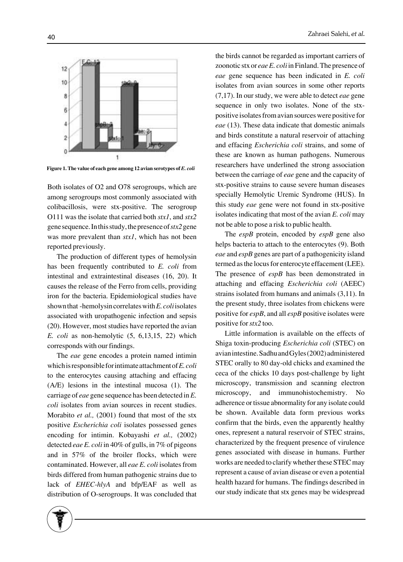

**Figure 1. The value of each gene among 12 avian serotypes of** *E. coli*

Both isolates of O2 and O78 serogroups, which are among serogroups most commonly associated with colibacillosis, were stx-positive. The serogroup O111 was the isolate that carried both *stx1*, and *stx2* gene sequence. In this study, the presence of *stx2*gene was more prevalent than *stx1*, which has not been reported previously.

The production of different types of hemolysin has been frequently contributed to *E. coli* from intestinal and extraintestinal diseases (16, 20). It causes the release of the Ferro from cells, providing iron for the bacteria. Epidemiological studies have shown that -hemolysin correlates with *E. coli*isolates associated with uropathogenic infection and sepsis (20). However, most studies have reported the avian *E. coli* as non-hemolytic (5, 6,13,15, 22) which corresponds with our findings.

The *eae* gene encodes a protein named intimin which is responsible for intimate attachment of *E. coli* to the enterocytes causing attaching and effacing (A/E) lesions in the intestinal mucosa (1). The carriage of *eae* gene sequence has been detected in *E. coli* isolates from avian sources in recent studies. Morabito *et al.,* (2001) found that most of the stx positive *Escherichia coli* isolates possessed genes encoding for intimin. Kobayashi *et al.,* (2002) detected *eae E. coli* in 40% of gulls, in 7% of pigeons and in 57% of the broiler flocks, which were contaminated. However, all *eae E. coli* isolates from birds differed from human pathogenic strains due to lack of *EHEC-hlyA* and bfp/EAF as well as distribution of O-serogroups. It was concluded that the birds cannot be regarded as important carriers of zoonotic stx or *eae E. coli*in Finland. The presence of *eae* gene sequence has been indicated in *E. coli* isolates from avian sources in some other reports (7,17). In our study, we were able to detect *eae* gene sequence in only two isolates. None of the stxpositive isolates from avian sources were positive for *eae* (13). These data indicate that domestic animals and birds constitute a natural reservoir of attaching and effacing *Escherichia coli* strains, and some of these are known as human pathogens. Numerous researchers have underlined the strong association between the carriage of *eae* gene and the capacity of stx-positive strains to cause severe human diseases specially Hemolytic Uremic Syndrome (HUS). In this study *eae* gene were not found in stx-positive isolates indicating that most of the avian *E. coli* may not be able to pose a risk to public health.

The *espB* protein, encoded by *espB* gene also helps bacteria to attach to the enterocytes (9). Both *eae* and *espB* genes are part of a pathogenicity island termed as the locus for enterocyte effacement (LEE). The presence of *espB* has been demonstrated in attaching and effacing *Escherichia coli* (AEEC) strains isolated from humans and animals (3,11). In the present study, three isolates from chickens were positive for *espB*, and all *espB* positive isolates were positive for *stx2* too.

Little information is available on the effects of Shiga toxin-producing *Escherichia coli* (STEC) on avian intestine. Sadhu and Gyles (2002) administered STEC orally to 80 day-old chicks and examined the ceca of the chicks 10 days post-challenge by light microscopy, transmission and scanning electron microscopy, and immunohistochemistry. No adherence or tissue abnormality for any isolate could be shown. Available data form previous works confirm that the birds, even the apparently healthy ones, represent a natural reservoir of STEC strains, characterized by the frequent presence of virulence genes associated with disease in humans. Further works are needed to clarify whether these STEC may represent a cause of avian disease or even a potential health hazard for humans. The findings described in our study indicate that stx genes may be widespread

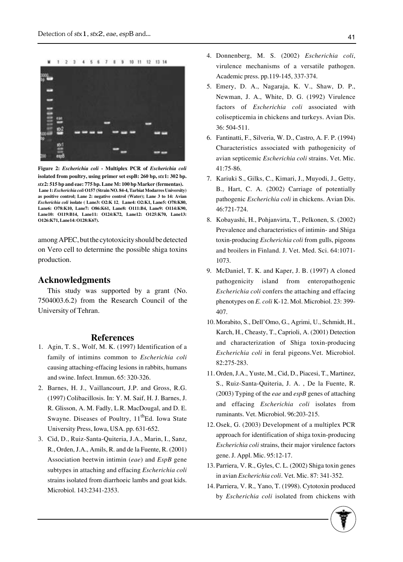1 2 3 4 5 6 7 8 9 10 11 12 13 14



**Figure 2:** *Escherichia coli* **- Multiplex PCR of** *Escherichia coli* **isolated from poultry, using primer set espB: 260 bp,** *stx***1: 302 bp.** *stx***2: 515 bp and eae: 775 bp. Lane M: 100 bp Marker (fermentas). Lane 1:** *Escherichia coli* **O157 (Strain NO. 84-4, Tarbiat Modarres University) as positive control; Lane 2: negative control (Water); Lane 3 to 14: Avian** *Escherichia coli* **isolate ( Lane3: O2:K 12**, **Lane4: O2:K1, Lane5: O78:K80, Lane6: O78:K10, Lane7: O86:K61, Lane8: O111:B4, Lane9: O114:K90, Lane10: O119:B14, Lane11: O124:K72, Lane12: O125:K70, Lane13: O126:K71, Lane14: O128:K67).**

among APEC, but the cytotoxicity should be detected on Vero cell to determine the possible shiga toxins production.

### **Acknowledgments**

This study was supported by a grant (No. 7504003.6.2) from the Research Council of the University of Tehran.

#### **References**

- 1. Agin, T. S., Wolf, M. K. (1997) Identification of a family of intimins common to *Escherichia coli* causing attaching-effacing lesions in rabbits, humans and swine. Infect. Immun. 65: 320-326.
- 2. Barnes, H. J., Vaillancourt, J.P. and Gross, R.G. (1997) Colibacillosis. In: Y. M. Saif, H. J. Barnes, J. R. Glisson, A. M. Fadly, L.R. MacDougal, and D. E. Swayne. Diseases of Poultry,  $11<sup>th</sup>$ Ed. Iowa State University Press, Iowa, USA. pp. 631-652.
- Cid, D., Ruiz-Santa-Quiteria, J.A., Marin, I., Sanz, 3. R., Orden, J.A., Amils, R. and de la Fuente, R. (2001) Association beetwin intimin (*eae*) and *EspB* gene subtypes in attaching and effacing *Escherichia coli* strains isolated from diarrhoeic lambs and goat kids. Microbiol. 143:2341-2353.
- Donnenberg, M. S. (2002) *Escherichia coli*, 4. virulence mechanisms of a versatile pathogen. Academic press. pp.119-145, 337-374.
- 5. Emery, D. A., Nagaraja, K. V., Shaw, D. P., Newman, J. A., White, D. G. (1992) Virulence factors of *Escherichia coli* associated with colisepticemia in chickens and turkeys. Avian Dis. 36: 504-511.
- Fantinatti, F., Silveria, W. D., Castro, A. F. P. (1994) 6. Characteristics associated with pathogenicity of avian septicemic *Escherichia coli* strains. Vet. Mic. 41:75-86.
- 7. Kariuki S., Gilks, C., Kimari, J., Muyodi, J., Getty, B., Hart, C. A. (2002) Carriage of potentially pathogenic *Escherichia coli* in chickens. Avian Dis. 46:721-724.
- 8. Kobayashi, H., Pohjanvirta, T., Pelkonen, S. (2002) Prevalence and characteristics of intimin- and Shiga toxin-producing *Escherichia coli* from gulls, pigeons and broilers in Finland. J. Vet. Med. Sci. 64:1071- 1073.
- 9. McDaniel, T. K. and Kaper, J. B. (1997) A cloned pathogenicity island from enteropathogenic *Escherichia coli* confers the attaching and effacing phenotypes on *E. coli* K-12. Mol. Microbiol. 23: 399- 407.
- 10. Morabito, S., Dell'Omo, G., Agrimi, U., Schmidt, H., Karch, H., Cheasty, T., Caprioli, A. (2001) Detection and characterization of Shiga toxin-producing *Escherichia coli* in feral pigeons.Vet. Microbiol. 82:275-283.
- 11. Orden, J.A., Yuste, M., Cid, D., Piacesi, T., Martinez, S., Ruiz-Santa-Quiteria, J. A. , De la Fuente, R. (2003) Typing of the *eae* and *espB* genes of attaching and effacing *Escherichia coli* isolates from ruminants. Vet. Microbiol. 96:203-215.
- 12. Osek, G. (2003) Development of a multiplex PCR approach for identification of shiga toxin-producing *Escherichia coli* strains, their major virulence factors gene. J. Appl. Mic. 95:12-17.
- 13. Parriera, V. R., Gyles, C. L. (2002) Shiga toxin genes in avian *Escherichia coli*. Vet. Mic. 87: 341-352.
- 14. Parriera, V. R., Yano, T. (1998). Cytotoxin produced by *Escherichia coli* isolated from chickens with